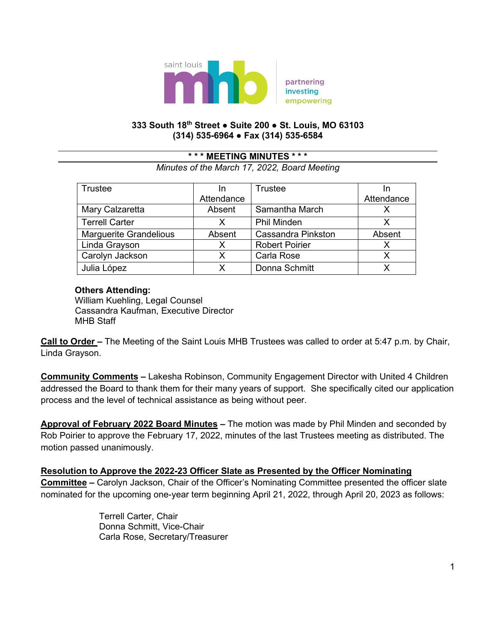

### **333 South 18th Street ● Suite 200 ● St. Louis, MO 63103 (314) 535-6964 ● Fax (314) 535-6584**

## **\* \* \* MEETING MINUTES \* \* \***

*Minutes of the March 17, 2022, Board Meeting*

| <b>Trustee</b>                | In         | Trustee                   |            |
|-------------------------------|------------|---------------------------|------------|
|                               | Attendance |                           | Attendance |
| Mary Calzaretta               | Absent     | Samantha March            |            |
| <b>Terrell Carter</b>         | X          | <b>Phil Minden</b>        | x          |
| <b>Marguerite Grandelious</b> | Absent     | <b>Cassandra Pinkston</b> | Absent     |
| Linda Grayson                 | X          | <b>Robert Poirier</b>     | Х          |
| Carolyn Jackson               | x          | Carla Rose                | x          |
| Julia López                   | x          | Donna Schmitt             |            |

### **Others Attending:**

 William Kuehling, Legal Counsel Cassandra Kaufman, Executive Director MHB Staff

**Call to Order –** The Meeting of the Saint Louis MHB Trustees was called to order at 5:47 p.m. by Chair, Linda Grayson.

**Community Comments –** Lakesha Robinson, Community Engagement Director with United 4 Children addressed the Board to thank them for their many years of support. She specifically cited our application process and the level of technical assistance as being without peer.

**Approval of February 2022 Board Minutes –** The motion was made by Phil Minden and seconded by Rob Poirier to approve the February 17, 2022, minutes of the last Trustees meeting as distributed. The motion passed unanimously.

### **Resolution to Approve the 2022-23 Officer Slate as Presented by the Officer Nominating**

**Committee –** Carolyn Jackson, Chair of the Officer's Nominating Committee presented the officer slate nominated for the upcoming one-year term beginning April 21, 2022, through April 20, 2023 as follows:

> Terrell Carter, Chair Donna Schmitt, Vice-Chair Carla Rose, Secretary/Treasurer